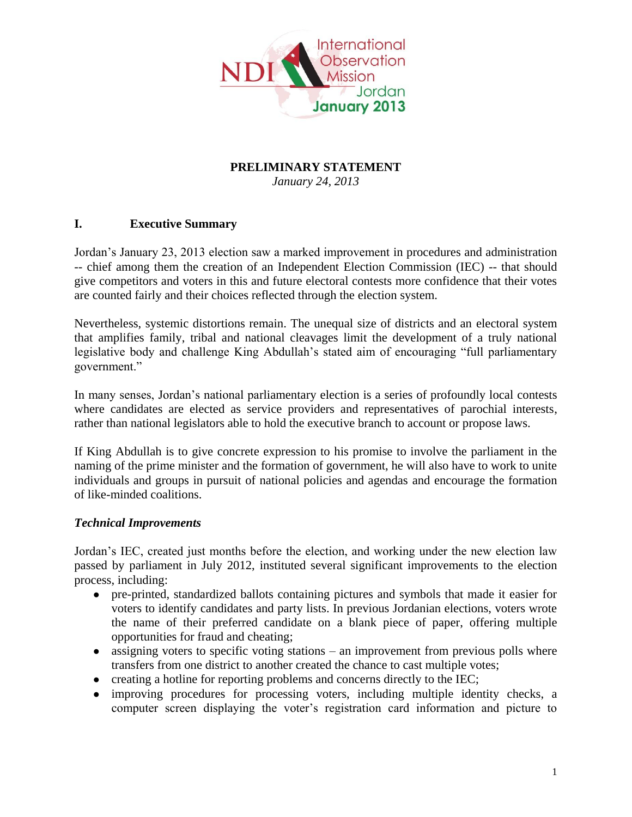

## **PRELIMINARY STATEMENT**

*January 24, 2013*

### **I. Executive Summary**

Jordan's January 23, 2013 election saw a marked improvement in procedures and administration -- chief among them the creation of an Independent Election Commission (IEC) -- that should give competitors and voters in this and future electoral contests more confidence that their votes are counted fairly and their choices reflected through the election system.

Nevertheless, systemic distortions remain. The unequal size of districts and an electoral system that amplifies family, tribal and national cleavages limit the development of a truly national legislative body and challenge King Abdullah's stated aim of encouraging "full parliamentary government."

In many senses, Jordan's national parliamentary election is a series of profoundly local contests where candidates are elected as service providers and representatives of parochial interests, rather than national legislators able to hold the executive branch to account or propose laws.

If King Abdullah is to give concrete expression to his promise to involve the parliament in the naming of the prime minister and the formation of government, he will also have to work to unite individuals and groups in pursuit of national policies and agendas and encourage the formation of like-minded coalitions.

### *Technical Improvements*

Jordan's IEC, created just months before the election, and working under the new election law passed by parliament in July 2012, instituted several significant improvements to the election process, including:

- pre-printed, standardized ballots containing pictures and symbols that made it easier for voters to identify candidates and party lists. In previous Jordanian elections, voters wrote the name of their preferred candidate on a blank piece of paper, offering multiple opportunities for fraud and cheating;
- assigning voters to specific voting stations an improvement from previous polls where transfers from one district to another created the chance to cast multiple votes;
- creating a hotline for reporting problems and concerns directly to the IEC;
- improving procedures for processing voters, including multiple identity checks, a computer screen displaying the voter's registration card information and picture to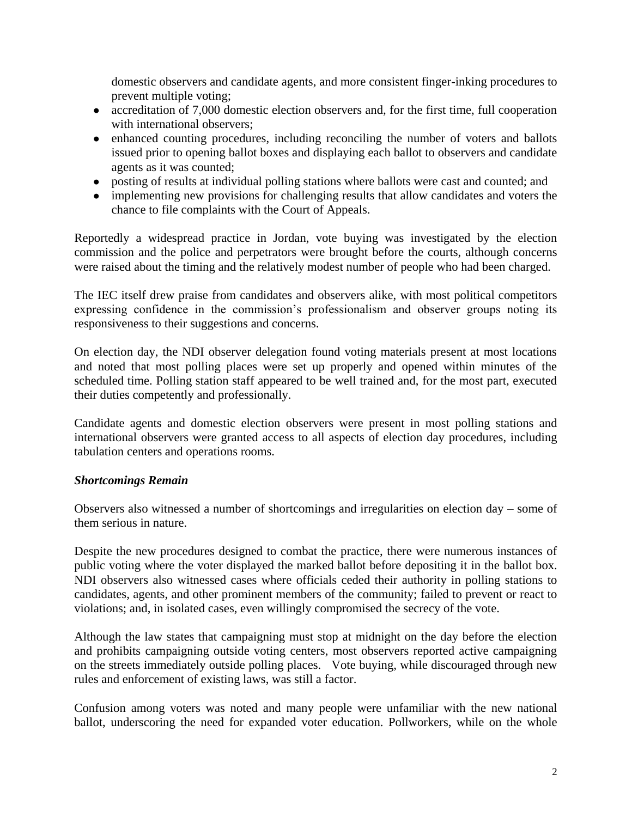domestic observers and candidate agents, and more consistent finger-inking procedures to prevent multiple voting;

- accreditation of 7,000 domestic election observers and, for the first time, full cooperation with international observers;
- enhanced counting procedures, including reconciling the number of voters and ballots issued prior to opening ballot boxes and displaying each ballot to observers and candidate agents as it was counted;
- posting of results at individual polling stations where ballots were cast and counted; and
- implementing new provisions for challenging results that allow candidates and voters the chance to file complaints with the Court of Appeals.

Reportedly a widespread practice in Jordan, vote buying was investigated by the election commission and the police and perpetrators were brought before the courts, although concerns were raised about the timing and the relatively modest number of people who had been charged.

The IEC itself drew praise from candidates and observers alike, with most political competitors expressing confidence in the commission's professionalism and observer groups noting its responsiveness to their suggestions and concerns.

On election day, the NDI observer delegation found voting materials present at most locations and noted that most polling places were set up properly and opened within minutes of the scheduled time. Polling station staff appeared to be well trained and, for the most part, executed their duties competently and professionally.

Candidate agents and domestic election observers were present in most polling stations and international observers were granted access to all aspects of election day procedures, including tabulation centers and operations rooms.

### *Shortcomings Remain*

Observers also witnessed a number of shortcomings and irregularities on election day – some of them serious in nature.

Despite the new procedures designed to combat the practice, there were numerous instances of public voting where the voter displayed the marked ballot before depositing it in the ballot box. NDI observers also witnessed cases where officials ceded their authority in polling stations to candidates, agents, and other prominent members of the community; failed to prevent or react to violations; and, in isolated cases, even willingly compromised the secrecy of the vote.

Although the law states that campaigning must stop at midnight on the day before the election and prohibits campaigning outside voting centers, most observers reported active campaigning on the streets immediately outside polling places. Vote buying, while discouraged through new rules and enforcement of existing laws, was still a factor.

Confusion among voters was noted and many people were unfamiliar with the new national ballot, underscoring the need for expanded voter education. Pollworkers, while on the whole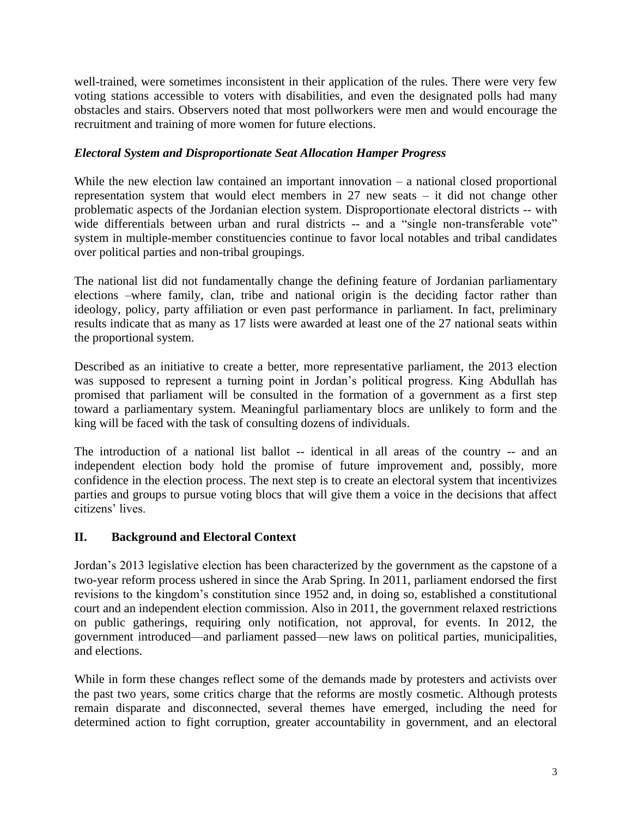well-trained, were sometimes inconsistent in their application of the rules. There were very few voting stations accessible to voters with disabilities, and even the designated polls had many obstacles and stairs. Observers noted that most pollworkers were men and would encourage the recruitment and training of more women for future elections.

### *Electoral System and Disproportionate Seat Allocation Hamper Progress*

While the new election law contained an important innovation – a national closed proportional representation system that would elect members in 27 new seats – it did not change other problematic aspects of the Jordanian election system. Disproportionate electoral districts -- with wide differentials between urban and rural districts -- and a "single non-transferable vote" system in multiple-member constituencies continue to favor local notables and tribal candidates over political parties and non-tribal groupings.

The national list did not fundamentally change the defining feature of Jordanian parliamentary elections –where family, clan, tribe and national origin is the deciding factor rather than ideology, policy, party affiliation or even past performance in parliament. In fact, preliminary results indicate that as many as 17 lists were awarded at least one of the 27 national seats within the proportional system.

Described as an initiative to create a better, more representative parliament, the 2013 election was supposed to represent a turning point in Jordan's political progress. King Abdullah has promised that parliament will be consulted in the formation of a government as a first step toward a parliamentary system. Meaningful parliamentary blocs are unlikely to form and the king will be faced with the task of consulting dozens of individuals.

The introduction of a national list ballot -- identical in all areas of the country -- and an independent election body hold the promise of future improvement and, possibly, more confidence in the election process. The next step is to create an electoral system that incentivizes parties and groups to pursue voting blocs that will give them a voice in the decisions that affect citizens' lives.

### **II. Background and Electoral Context**

Jordan's 2013 legislative election has been characterized by the government as the capstone of a two-year reform process ushered in since the Arab Spring. In 2011, parliament endorsed the first revisions to the kingdom's constitution since 1952 and, in doing so, established a constitutional court and an independent election commission. Also in 2011, the government relaxed restrictions on public gatherings, requiring only notification, not approval, for events. In 2012, the government introduced—and parliament passed—new laws on political parties, municipalities, and elections.

While in form these changes reflect some of the demands made by protesters and activists over the past two years, some critics charge that the reforms are mostly cosmetic. Although protests remain disparate and disconnected, several themes have emerged, including the need for determined action to fight corruption, greater accountability in government, and an electoral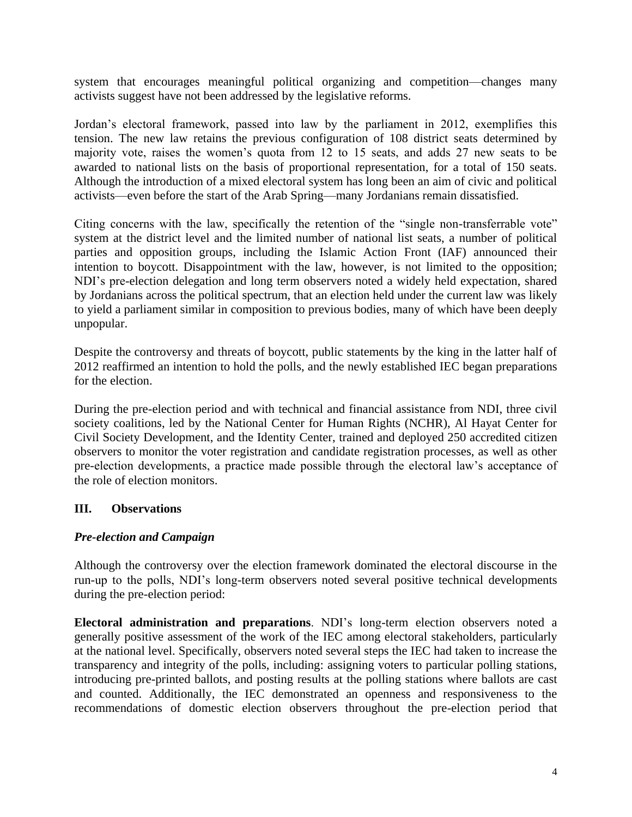system that encourages meaningful political organizing and competition—changes many activists suggest have not been addressed by the legislative reforms.

Jordan's electoral framework, passed into law by the parliament in 2012, exemplifies this tension. The new law retains the previous configuration of 108 district seats determined by majority vote, raises the women's quota from 12 to 15 seats, and adds 27 new seats to be awarded to national lists on the basis of proportional representation, for a total of 150 seats. Although the introduction of a mixed electoral system has long been an aim of civic and political activists—even before the start of the Arab Spring—many Jordanians remain dissatisfied.

Citing concerns with the law, specifically the retention of the "single non-transferrable vote" system at the district level and the limited number of national list seats, a number of political parties and opposition groups, including the Islamic Action Front (IAF) announced their intention to boycott. Disappointment with the law, however, is not limited to the opposition; NDI's pre-election delegation and long term observers noted a widely held expectation, shared by Jordanians across the political spectrum, that an election held under the current law was likely to yield a parliament similar in composition to previous bodies, many of which have been deeply unpopular.

Despite the controversy and threats of boycott, public statements by the king in the latter half of 2012 reaffirmed an intention to hold the polls, and the newly established IEC began preparations for the election.

During the pre-election period and with technical and financial assistance from NDI, three civil society coalitions, led by the National Center for Human Rights (NCHR), Al Hayat Center for Civil Society Development, and the Identity Center, trained and deployed 250 accredited citizen observers to monitor the voter registration and candidate registration processes, as well as other pre-election developments, a practice made possible through the electoral law's acceptance of the role of election monitors.

### **III. Observations**

#### *Pre-election and Campaign*

Although the controversy over the election framework dominated the electoral discourse in the run-up to the polls, NDI's long-term observers noted several positive technical developments during the pre-election period:

**Electoral administration and preparations**. NDI's long-term election observers noted a generally positive assessment of the work of the IEC among electoral stakeholders, particularly at the national level. Specifically, observers noted several steps the IEC had taken to increase the transparency and integrity of the polls, including: assigning voters to particular polling stations, introducing pre-printed ballots, and posting results at the polling stations where ballots are cast and counted. Additionally, the IEC demonstrated an openness and responsiveness to the recommendations of domestic election observers throughout the pre-election period that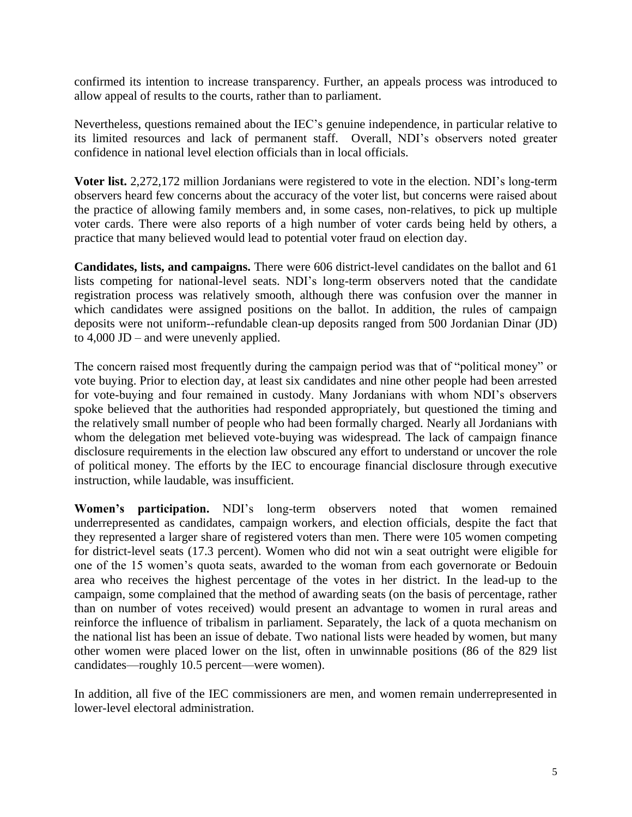confirmed its intention to increase transparency. Further, an appeals process was introduced to allow appeal of results to the courts, rather than to parliament.

Nevertheless, questions remained about the IEC's genuine independence, in particular relative to its limited resources and lack of permanent staff. Overall, NDI's observers noted greater confidence in national level election officials than in local officials.

**Voter list.** 2,272,172 million Jordanians were registered to vote in the election. NDI's long-term observers heard few concerns about the accuracy of the voter list, but concerns were raised about the practice of allowing family members and, in some cases, non-relatives, to pick up multiple voter cards. There were also reports of a high number of voter cards being held by others, a practice that many believed would lead to potential voter fraud on election day.

**Candidates, lists, and campaigns.** There were 606 district-level candidates on the ballot and 61 lists competing for national-level seats. NDI's long-term observers noted that the candidate registration process was relatively smooth, although there was confusion over the manner in which candidates were assigned positions on the ballot. In addition, the rules of campaign deposits were not uniform--refundable clean-up deposits ranged from 500 Jordanian Dinar (JD) to 4,000 JD – and were unevenly applied.

The concern raised most frequently during the campaign period was that of "political money" or vote buying. Prior to election day, at least six candidates and nine other people had been arrested for vote-buying and four remained in custody. Many Jordanians with whom NDI's observers spoke believed that the authorities had responded appropriately, but questioned the timing and the relatively small number of people who had been formally charged. Nearly all Jordanians with whom the delegation met believed vote-buying was widespread. The lack of campaign finance disclosure requirements in the election law obscured any effort to understand or uncover the role of political money. The efforts by the IEC to encourage financial disclosure through executive instruction, while laudable, was insufficient.

**Women's participation.** NDI's long-term observers noted that women remained underrepresented as candidates, campaign workers, and election officials, despite the fact that they represented a larger share of registered voters than men. There were 105 women competing for district-level seats (17.3 percent). Women who did not win a seat outright were eligible for one of the 15 women's quota seats, awarded to the woman from each governorate or Bedouin area who receives the highest percentage of the votes in her district. In the lead-up to the campaign, some complained that the method of awarding seats (on the basis of percentage, rather than on number of votes received) would present an advantage to women in rural areas and reinforce the influence of tribalism in parliament. Separately, the lack of a quota mechanism on the national list has been an issue of debate. Two national lists were headed by women, but many other women were placed lower on the list, often in unwinnable positions (86 of the 829 list candidates—roughly 10.5 percent—were women).

In addition, all five of the IEC commissioners are men, and women remain underrepresented in lower-level electoral administration.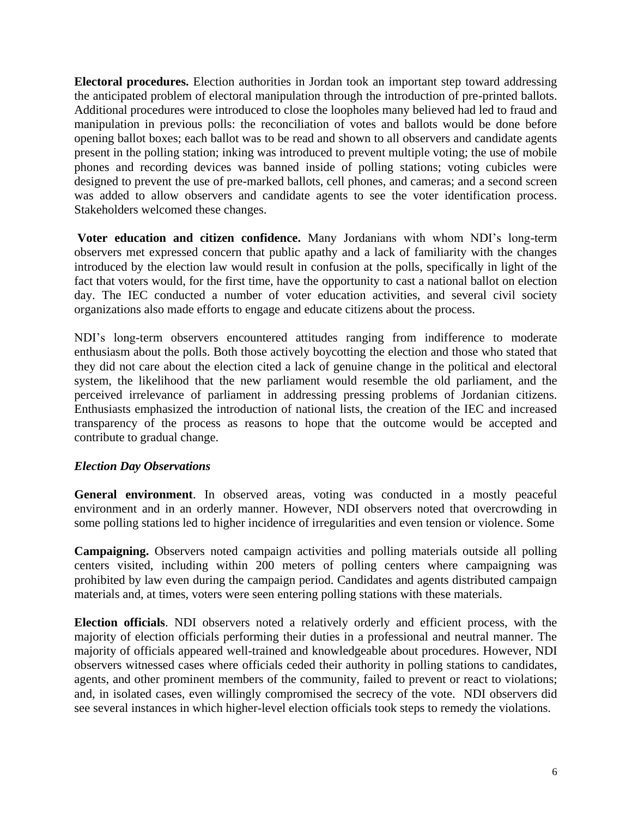**Electoral procedures.** Election authorities in Jordan took an important step toward addressing the anticipated problem of electoral manipulation through the introduction of pre-printed ballots. Additional procedures were introduced to close the loopholes many believed had led to fraud and manipulation in previous polls: the reconciliation of votes and ballots would be done before opening ballot boxes; each ballot was to be read and shown to all observers and candidate agents present in the polling station; inking was introduced to prevent multiple voting; the use of mobile phones and recording devices was banned inside of polling stations; voting cubicles were designed to prevent the use of pre-marked ballots, cell phones, and cameras; and a second screen was added to allow observers and candidate agents to see the voter identification process. Stakeholders welcomed these changes.

**Voter education and citizen confidence.** Many Jordanians with whom NDI's long-term observers met expressed concern that public apathy and a lack of familiarity with the changes introduced by the election law would result in confusion at the polls, specifically in light of the fact that voters would, for the first time, have the opportunity to cast a national ballot on election day. The IEC conducted a number of voter education activities, and several civil society organizations also made efforts to engage and educate citizens about the process.

NDI's long-term observers encountered attitudes ranging from indifference to moderate enthusiasm about the polls. Both those actively boycotting the election and those who stated that they did not care about the election cited a lack of genuine change in the political and electoral system, the likelihood that the new parliament would resemble the old parliament, and the perceived irrelevance of parliament in addressing pressing problems of Jordanian citizens. Enthusiasts emphasized the introduction of national lists, the creation of the IEC and increased transparency of the process as reasons to hope that the outcome would be accepted and contribute to gradual change.

### *Election Day Observations*

**General environment**. In observed areas, voting was conducted in a mostly peaceful environment and in an orderly manner. However, NDI observers noted that overcrowding in some polling stations led to higher incidence of irregularities and even tension or violence. Some

**Campaigning.** Observers noted campaign activities and polling materials outside all polling centers visited, including within 200 meters of polling centers where campaigning was prohibited by law even during the campaign period. Candidates and agents distributed campaign materials and, at times, voters were seen entering polling stations with these materials.

**Election officials**. NDI observers noted a relatively orderly and efficient process, with the majority of election officials performing their duties in a professional and neutral manner. The majority of officials appeared well-trained and knowledgeable about procedures. However, NDI observers witnessed cases where officials ceded their authority in polling stations to candidates, agents, and other prominent members of the community, failed to prevent or react to violations; and, in isolated cases, even willingly compromised the secrecy of the vote. NDI observers did see several instances in which higher-level election officials took steps to remedy the violations.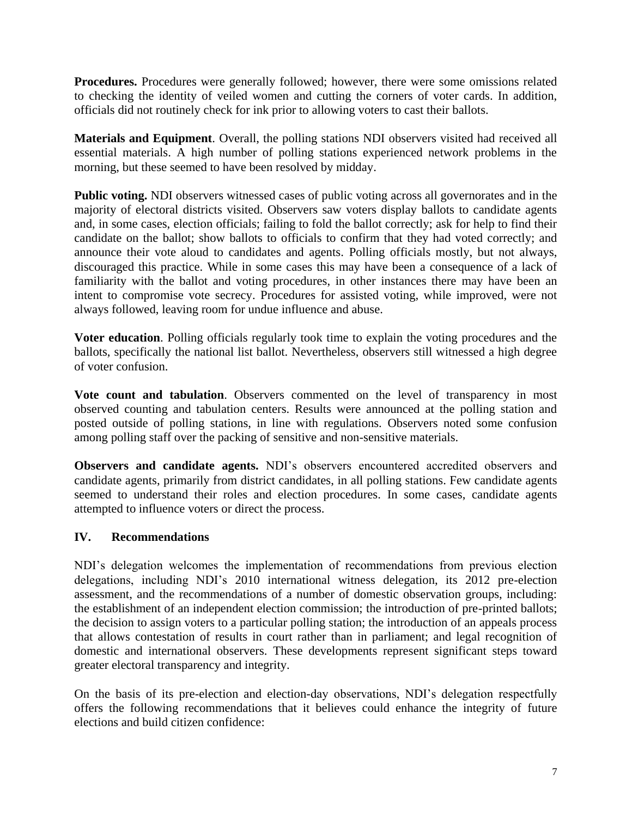**Procedures.** Procedures were generally followed; however, there were some omissions related to checking the identity of veiled women and cutting the corners of voter cards. In addition, officials did not routinely check for ink prior to allowing voters to cast their ballots.

**Materials and Equipment**. Overall, the polling stations NDI observers visited had received all essential materials. A high number of polling stations experienced network problems in the morning, but these seemed to have been resolved by midday.

**Public voting.** NDI observers witnessed cases of public voting across all governorates and in the majority of electoral districts visited. Observers saw voters display ballots to candidate agents and, in some cases, election officials; failing to fold the ballot correctly; ask for help to find their candidate on the ballot; show ballots to officials to confirm that they had voted correctly; and announce their vote aloud to candidates and agents. Polling officials mostly, but not always, discouraged this practice. While in some cases this may have been a consequence of a lack of familiarity with the ballot and voting procedures, in other instances there may have been an intent to compromise vote secrecy. Procedures for assisted voting, while improved, were not always followed, leaving room for undue influence and abuse.

**Voter education**. Polling officials regularly took time to explain the voting procedures and the ballots, specifically the national list ballot. Nevertheless, observers still witnessed a high degree of voter confusion.

**Vote count and tabulation**. Observers commented on the level of transparency in most observed counting and tabulation centers. Results were announced at the polling station and posted outside of polling stations, in line with regulations. Observers noted some confusion among polling staff over the packing of sensitive and non-sensitive materials.

**Observers and candidate agents.** NDI's observers encountered accredited observers and candidate agents, primarily from district candidates, in all polling stations. Few candidate agents seemed to understand their roles and election procedures. In some cases, candidate agents attempted to influence voters or direct the process.

### **IV. Recommendations**

NDI's delegation welcomes the implementation of recommendations from previous election delegations, including NDI's 2010 international witness delegation, its 2012 pre-election assessment, and the recommendations of a number of domestic observation groups, including: the establishment of an independent election commission; the introduction of pre-printed ballots; the decision to assign voters to a particular polling station; the introduction of an appeals process that allows contestation of results in court rather than in parliament; and legal recognition of domestic and international observers. These developments represent significant steps toward greater electoral transparency and integrity.

On the basis of its pre-election and election-day observations, NDI's delegation respectfully offers the following recommendations that it believes could enhance the integrity of future elections and build citizen confidence: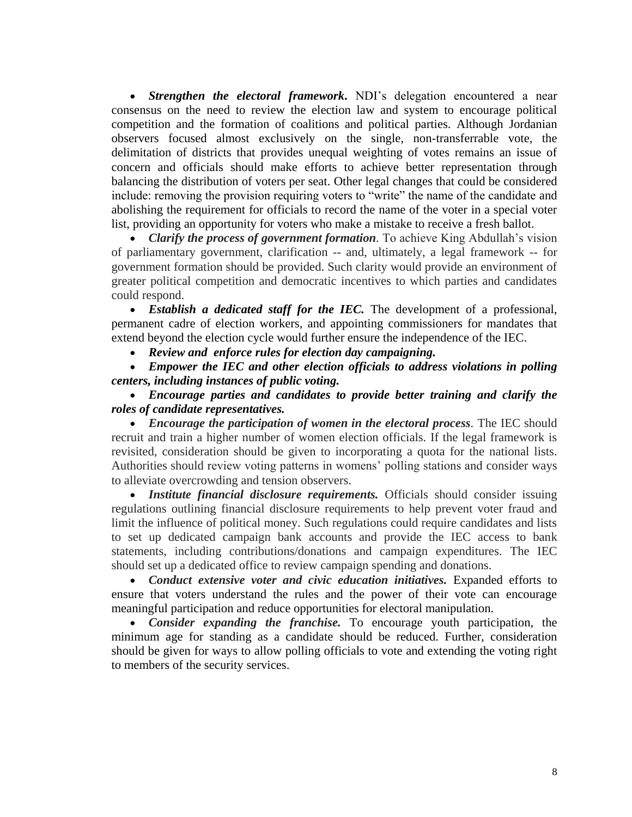*Strengthen the electoral framework***.** NDI's delegation encountered a near consensus on the need to review the election law and system to encourage political competition and the formation of coalitions and political parties. Although Jordanian observers focused almost exclusively on the single, non-transferrable vote, the delimitation of districts that provides unequal weighting of votes remains an issue of concern and officials should make efforts to achieve better representation through balancing the distribution of voters per seat. Other legal changes that could be considered include: removing the provision requiring voters to "write" the name of the candidate and abolishing the requirement for officials to record the name of the voter in a special voter list, providing an opportunity for voters who make a mistake to receive a fresh ballot.

*Clarify the process of government formation*. To achieve King Abdullah's vision of parliamentary government, clarification -- and, ultimately, a legal framework -- for government formation should be provided. Such clarity would provide an environment of greater political competition and democratic incentives to which parties and candidates could respond.

 *Establish a dedicated staff for the IEC.* The development of a professional, permanent cadre of election workers, and appointing commissioners for mandates that extend beyond the election cycle would further ensure the independence of the IEC.

*Review and enforce rules for election day campaigning.*

 *Empower the IEC and other election officials to address violations in polling centers, including instances of public voting.*

 *Encourage parties and candidates to provide better training and clarify the roles of candidate representatives.* 

 *Encourage the participation of women in the electoral process.* The IEC should recruit and train a higher number of women election officials. If the legal framework is revisited, consideration should be given to incorporating a quota for the national lists. Authorities should review voting patterns in womens' polling stations and consider ways to alleviate overcrowding and tension observers.

 *Institute financial disclosure requirements.* Officials should consider issuing regulations outlining financial disclosure requirements to help prevent voter fraud and limit the influence of political money. Such regulations could require candidates and lists to set up dedicated campaign bank accounts and provide the IEC access to bank statements, including contributions/donations and campaign expenditures. The IEC should set up a dedicated office to review campaign spending and donations.

 *Conduct extensive voter and civic education initiatives.* Expanded efforts to ensure that voters understand the rules and the power of their vote can encourage meaningful participation and reduce opportunities for electoral manipulation.

 *Consider expanding the franchise.* To encourage youth participation, the minimum age for standing as a candidate should be reduced. Further, consideration should be given for ways to allow polling officials to vote and extending the voting right to members of the security services.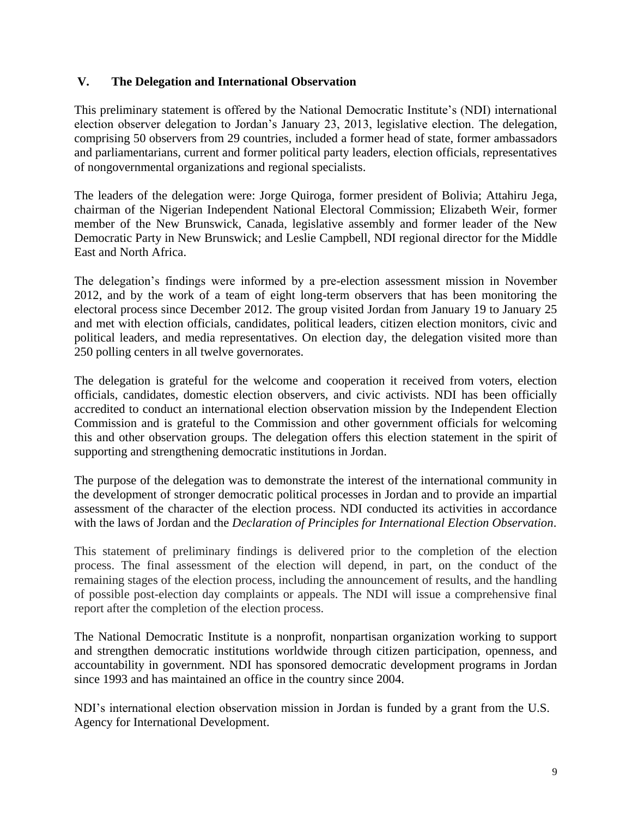#### **V. The Delegation and International Observation**

This preliminary statement is offered by the National Democratic Institute's (NDI) international election observer delegation to Jordan's January 23, 2013, legislative election. The delegation, comprising 50 observers from 29 countries, included a former head of state, former ambassadors and parliamentarians, current and former political party leaders, election officials, representatives of nongovernmental organizations and regional specialists.

The leaders of the delegation were: Jorge Quiroga, former president of Bolivia; Attahiru Jega, chairman of the Nigerian Independent National Electoral Commission; Elizabeth Weir, former member of the New Brunswick, Canada, legislative assembly and former leader of the New Democratic Party in New Brunswick; and Leslie Campbell, NDI regional director for the Middle East and North Africa.

The delegation's findings were informed by a pre-election assessment mission in November 2012, and by the work of a team of eight long-term observers that has been monitoring the electoral process since December 2012. The group visited Jordan from January 19 to January 25 and met with election officials, candidates, political leaders, citizen election monitors, civic and political leaders, and media representatives. On election day, the delegation visited more than 250 polling centers in all twelve governorates.

The delegation is grateful for the welcome and cooperation it received from voters, election officials, candidates, domestic election observers, and civic activists. NDI has been officially accredited to conduct an international election observation mission by the Independent Election Commission and is grateful to the Commission and other government officials for welcoming this and other observation groups. The delegation offers this election statement in the spirit of supporting and strengthening democratic institutions in Jordan.

The purpose of the delegation was to demonstrate the interest of the international community in the development of stronger democratic political processes in Jordan and to provide an impartial assessment of the character of the election process. NDI conducted its activities in accordance with the laws of Jordan and the *Declaration of Principles for International Election Observation*.

This statement of preliminary findings is delivered prior to the completion of the election process. The final assessment of the election will depend, in part, on the conduct of the remaining stages of the election process, including the announcement of results, and the handling of possible post-election day complaints or appeals. The NDI will issue a comprehensive final report after the completion of the election process.

The National Democratic Institute is a nonprofit, nonpartisan organization working to support and strengthen democratic institutions worldwide through citizen participation, openness, and accountability in government. NDI has sponsored democratic development programs in Jordan since 1993 and has maintained an office in the country since 2004.

NDI's international election observation mission in Jordan is funded by a grant from the U.S. Agency for International Development.